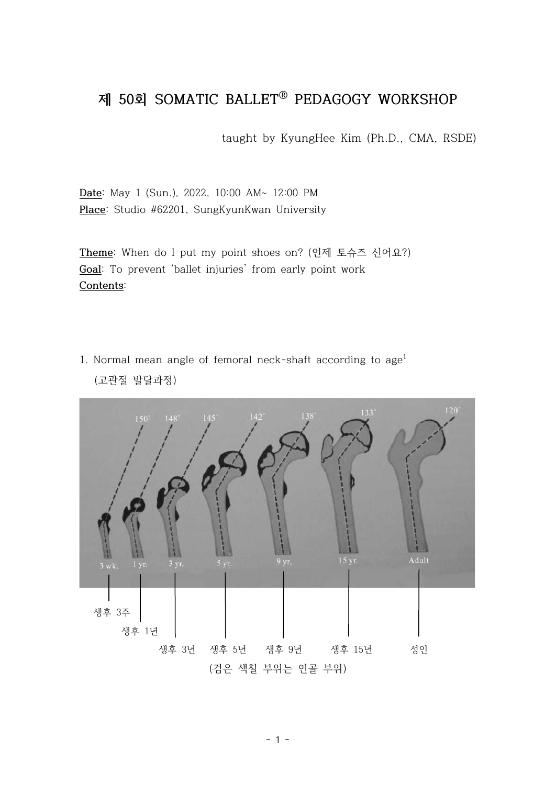## **제 50회 SOMATIC BALLETⓇ PEDAGOGY WORKSHOP**

taught by KyungHee Kim (Ph.D., CMA, RSDE)

**Date**: May 1 (Sun.), 2022, 10:00 AM~ 12:00 PM **Place**: Studio #62201, SungKyunKwan University

**Theme**: When do I put my point shoes on? (언제 토슈즈 신어요?) **Goal**: To prevent 'ballet injuries' from early point work **Contents**:

1. Normal mean angle of femoral neck-shaft according to  $age<sup>1</sup>$ (고관절 발달과정)

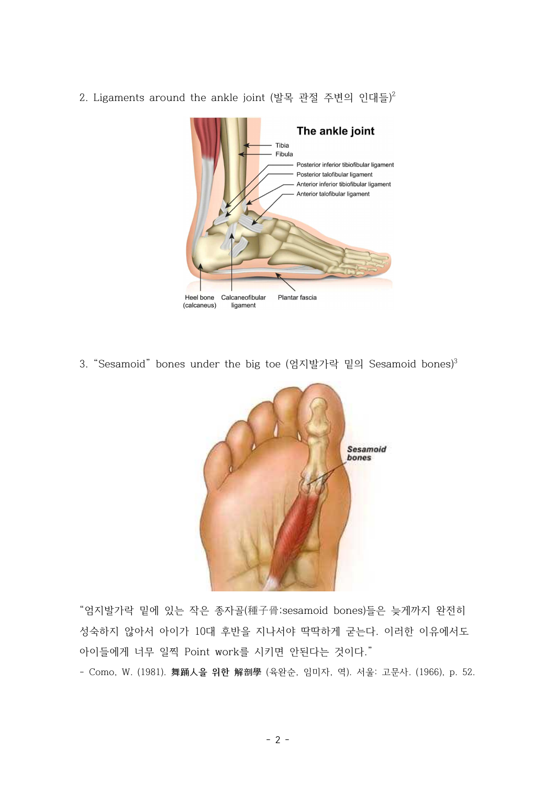2. Ligaments around the ankle joint (발목 관절 주변의 인대들)<sup>2</sup>



3. "Sesamoid" bones under the big toe (엄지발가락 밑의 Sesamoid bones)<sup>3</sup>



 "엄지발가락 밑에 있는 작은 종자골(種子骨;sesamoid bones)들은 늦게까지 완전히 성숙하지 않아서 아이가 10대 후반을 지나서야 딱딱하게 굳는다. 이러한 이유에서도 아이들에게 너무 일찍 Point work를 시키면 안된다는 것이다."

- Como, W. (1981). **舞踊人을 위한 解剖學** (육완순, 임미자, 역). 서울: 고문사. (1966), p. 52.